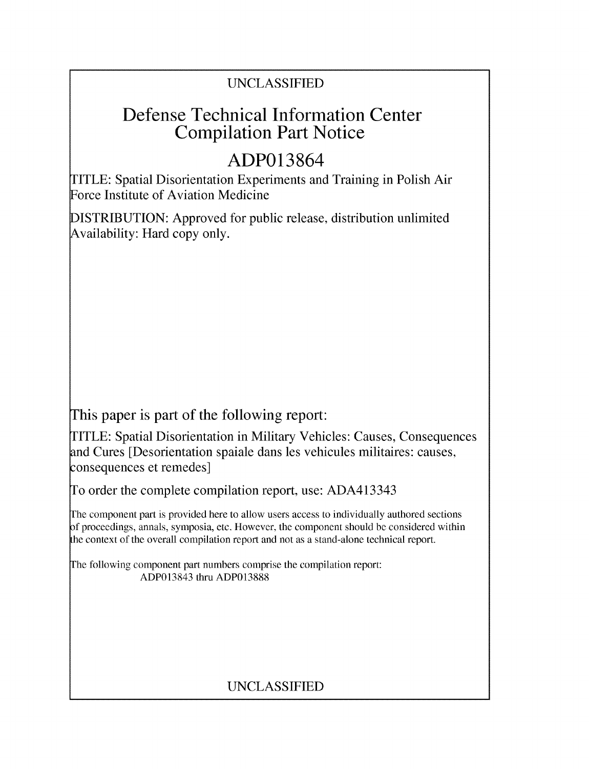## UNCLASSIFIED

## Defense Technical Information Center Compilation Part Notice

# **ADP013864**

TITLE: Spatial Disorientation Experiments and Training in Polish Air Force Institute of Aviation Medicine

DISTRIBUTION: Approved for public release, distribution unlimited Availability: Hard copy only.

This paper is part of the following report:

TITLE: Spatial Disorientation in Military Vehicles: Causes, Consequences and Cures [Desorientation spaiale dans les vehicules militaires: causes, consequences et remedes]

To order the complete compilation report, use: ADA413343

The component part is provided here to allow users access to individually authored sections **)f** proceedings, annals, symposia, etc. However, the component should be considered within [he context of the overall compilation report and not as a stand-alone technical report.

The following component part numbers comprise the compilation report: ADP013843 thru ADP013888

### UNCLASSIFIED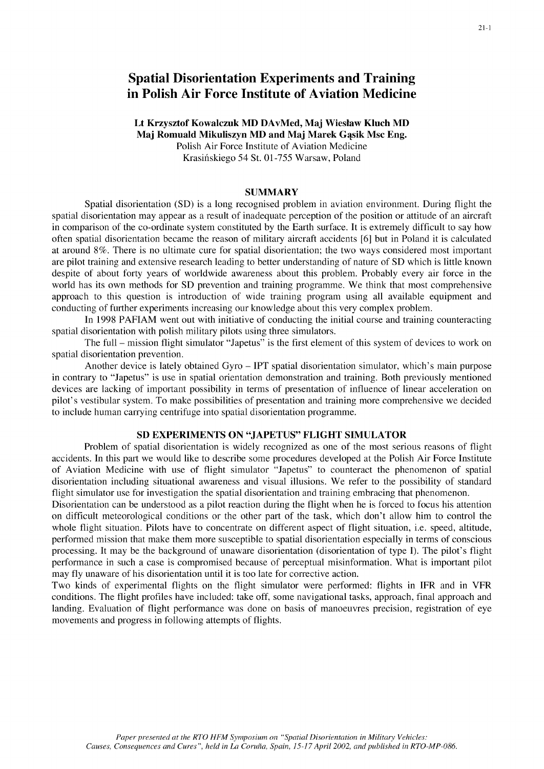### Spatial Disorientation Experiments and Training in Polish Air Force Institute of Aviation Medicine

#### Lt Krzysztof Kowalczuk MD DAvMed, Maj Wieslaw Kluch MD Maj Romuald Mikuliszyn MD and Maj Marek Gasik Msc Eng. Polish Air Force Institute of Aviation Medicine Krasifiskiego 54 St. 01-755 Warsaw, Poland

#### **SUMMARY**

Spatial disorientation (SD) is a long recognised problem in aviation environment. During flight the spatial disorientation may appear as a result of inadequate perception of the position or attitude of an aircraft in comparison of the co-ordinate system constituted by the Earth surface. It is extremely difficult to say how often spatial disorientation became the reason of military aircraft accidents **[6]** but in Poland it is calculated at around 8%. There is no ultimate cure for spatial disorientation; the two ways considered most important are pilot training and extensive research leading to better understanding of nature of SD which is little known despite of about forty years of worldwide awareness about this problem. Probably every air force in the world has its own methods for SD prevention and training programme. We think that most comprehensive approach to this question is introduction of wide training program using all available equipment and conducting of further experiments increasing our knowledge about this very complex problem.

In 1998 PAFIAM went out with initiative of conducting the initial course and training counteracting spatial disorientation with polish military pilots using three simulators.

The full – mission flight simulator "Japetus" is the first element of this system of devices to work on spatial disorientation prevention.

Another device is lately obtained Gyro - IPT spatial disorientation simulator, which's main purpose in contrary to "Japetus" is use in spatial orientation demonstration and training. Both previously mentioned devices are lacking of important possibility in terms of presentation of influence of linear acceleration on pilot's vestibular system. To make possibilities of presentation and training more comprehensive we decided to include human carrying centrifuge into spatial disorientation programme.

#### **SD** EXPERIMENTS **ON "JAPETUS"** FLIGHT SIMULATOR

Problem of spatial disorientation is widely recognized as one of the most serious reasons of flight accidents. In this part we would like to describe some procedures developed at the Polish Air Force Institute of Aviation Medicine with use of flight simulator "Japetus" to counteract the phenomenon of spatial disorientation including situational awareness and visual illusions. We refer to the possibility of standard flight simulator use for investigation the spatial disorientation and training embracing that phenomenon.

Disorientation can be understood as a pilot reaction during the flight when he is forced to focus his attention on difficult meteorological conditions or the other part of the task, which don't allow him to control the whole flight situation. Pilots have to concentrate on different aspect of flight situation, i.e. speed, altitude, performed mission that make them more susceptible to spatial disorientation especially in terms of conscious processing. It may be the background of unaware disorientation (disorientation of type i). The pilot's flight performance in such a case is compromised because of perceptual misinformation. What is important pilot may fly unaware of his disorientation until it is too late for corrective action.

Two kinds of experimental flights on the flight simulator were performed: flights in IFR and in VFR conditions. The flight profiles have included: take off, some navigational tasks, approach, final approach and landing. Evaluation of flight performance was done on basis of manoeuvres precision, registration of eye movements and progress in following attempts of flights.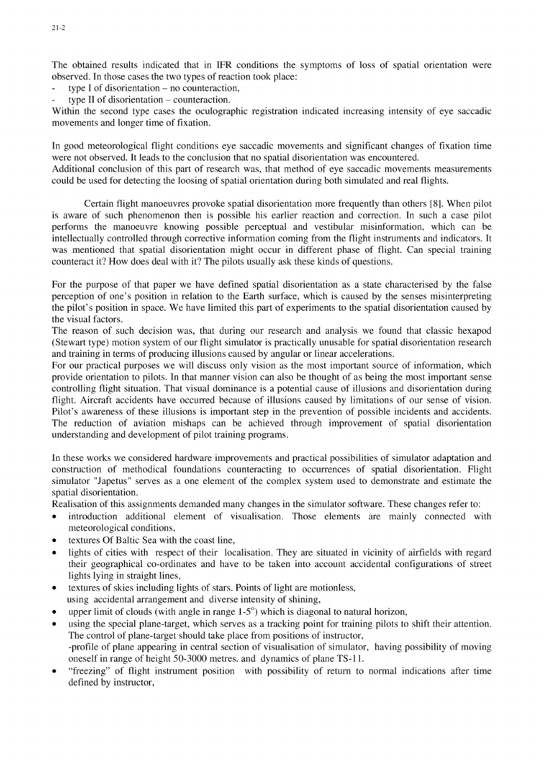The obtained results indicated that in IFR conditions the symptoms of loss of spatial orientation were observed. In those cases the two types of reaction took place:

- **-** type **I** of disorientation no counteraction,
- **-** type **11** of disorientation counteraction.

Within the second type cases the oculographic registration indicated increasing intensity of eye saccadic movements and longer time of fixation.

In good meteorological flight conditions eye saccadic movements and significant changes of fixation time were not observed. It leads to the conclusion that no spatial disorientation was encountered.

Additional conclusion of this part of research was, that method of eye saccadic movements measurements could be used for detecting the loosing of spatial orientation during both simulated and real flights.

Certain flight manoeuvres provoke spatial disorientation more frequently than others **[8].** When pilot is aware of such phenomenon then is possible his earlier reaction and correction. In such a case pilot performs the manoeuvre knowing possible perceptual and vestibular misinformation, which can be intellectually controlled through corrective information coming from the flight instruments and indicators. It was mentioned that spatial disorientation might occur in different phase of flight. Can special training counteract it? How does deal with it? The pilots usually ask these kinds of questions.

For the purpose of that paper we have defined spatial disorientation as a state characterised by the false perception of one's position in relation to the Earth surface, which is caused by the senses misinterpreting the pilot's position in space. We have limited this part of experiments to the spatial disorientation caused by the visual factors.

The reason of such decision was, that during our research and analysis we found that classic hexapod (Stewart type) motion system of our flight simulator is practically unusable for spatial disorientation research and training in terms of producing illusions caused by angular or linear accelerations.

For our practical purposes we will discuss only vision as the most important source of information, which provide orientation to pilots. In that manner vision can also be thought of as being the most important sense controlling flight situation. That visual dominance is a potential cause of illusions and disorientation during flight. Aircraft accidents have occurred because of illusions caused by limitations of our sense of vision. Pilot's awareness of these illusions is important step in the prevention of possible incidents and accidents. The reduction of aviation mishaps can be achieved through improvement of spatial disorientation understanding and development of pilot training programs.

In these works we considered hardware improvements and practical possibilities of simulator adaptation and construction of methodical foundations counteracting to occurrences of spatial disorientation. Flight simulator "Japetus" serves as a one element of the complex system used to demonstrate and estimate the spatial disorientation.

Realisation of this assignments demanded many changes in the simulator software. These changes refer to:

- \* introduction additional element of visualisation. Those elements are mainly connected with meteorological conditions,
- textures Of Baltic Sea with the coast line,
- lights of cities with respect of their localisation. They are situated in vicinity of airfields with regard their geographical co-ordinates and have to be taken into account accidental configurations of street lights lying in straight lines,
- textures of skies including lights of stars. Points of light are motionless, using accidental arrangement and diverse intensity of shining,
- \* upper limit of clouds (with angle in range **1-5°)** which is diagonal to natural horizon,
- using the special plane-target, which serves as a tracking point for training pilots to shift their attention. The control of plane-target should take place from positions of instructor, -profile of plane appearing in central section of visualisation of simulator, having possibility of moving oneself in range of height 50-3000 metres. and dynamics of plane TS-11.
- "freezing" of flight instrument position with possibility of return to normal indications after time defined by instructor,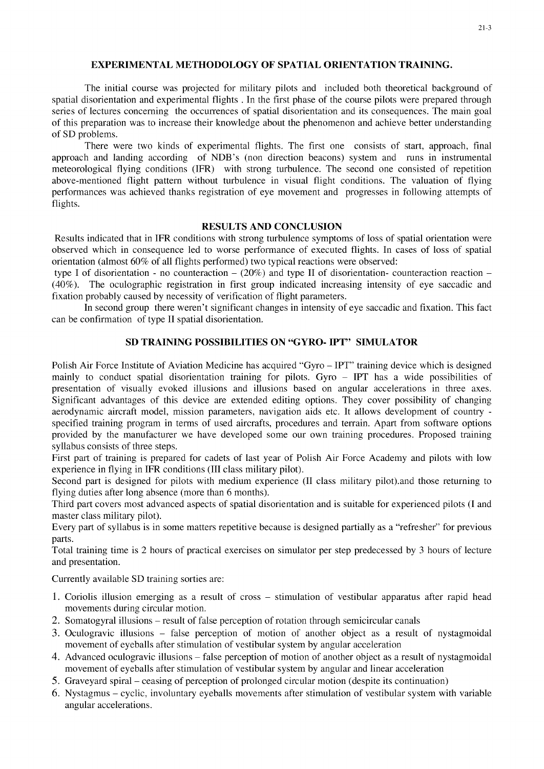#### EXPERIMENTAL METHODOLOGY OF **SPATIAL ORIENTATION TRAINING.**

The initial course was projected for military pilots and included both theoretical background of spatial disorientation and experimental flights . In the first phase of the course pilots were prepared through series of lectures concerning the occurrences of spatial disorientation and its consequences. The main goal of this preparation was to increase their knowledge about the phenomenon and achieve better understanding of SD problems.

There were two kinds of experimental flights. The first one consists of start, approach, final approach and landing according of NDB's (non direction beacons) system and runs in instrumental meteorological flying conditions (IFR) with strong turbulence. The second one consisted of repetition above-mentioned flight pattern without turbulence in visual flight conditions. The valuation of flying performances was achieved thanks registration of eye movement and progresses in following attempts of flights.

#### **RESULTS AND CONCLUSION**

Results indicated that in IFR conditions with strong turbulence symptoms of loss of spatial orientation were observed which in consequence led to worse performance of executed flights. In cases of loss of spatial orientation (almost 60% of all flights performed) two typical reactions were observed:

type I of disorientation - no counteraction  $- (20\%)$  and type II of disorientation- counteraction reaction  $-$ (40%). The oculographic registration in first group indicated increasing intensity of eye saccadic and fixation probably caused by necessity of verification of flight parameters.

In second group there weren't significant changes in intensity of eye saccadic and fixation. This fact can be confirmation of type II spatial disorientation.

#### **SD TRAINING POSSIBILITIES ON** "GYRO- **IPT"** SIMULATOR

Polish Air Force Institute of Aviation Medicine has acquired "Gyro - IPT" training device which is designed mainly to conduct spatial disorientation training for pilots. Gyro - IPT has a wide possibilities of presentation of visually evoked illusions and illusions based on angular accelerations in three axes. Significant advantages of this device are extended editing options. They cover possibility of changing aerodynamic aircraft model, mission parameters, navigation aids etc. It allows development of country specified training program in terms of used aircrafts, procedures and terrain. Apart from software options provided by the manufacturer we have developed some our own training procedures. Proposed training syllabus consists of three steps.

First part of training is prepared for cadets of last year of Polish Air Force Academy and pilots with low experience in flying in IFR conditions (III class military pilot).

Second part is designed for pilots with medium experience (II class military pilot).and those returning to flying duties after long absence (more than 6 months).

Third part covers most advanced aspects of spatial disorientation and is suitable for experienced pilots (I and master class military pilot).

Every part of syllabus is in some matters repetitive because is designed partially as a "refresher" for previous parts.

Total training time is 2 hours of practical exercises on simulator per step predecessed by 3 hours of lecture and presentation.

Currently available SD training sorties are:

- 1. Coriolis illusion emerging as a result of cross stimulation of vestibular apparatus after rapid head movements during circular motion.
- 2. Somatogyral illusions result of false perception of rotation through semicircular canals
- 3. Oculogravic illusions false perception of motion of another object as a result of nystagmoidal movement of eyeballs after stimulation of vestibular system by angular acceleration
- 4. Advanced oculogravic illusions false perception of motion of another object as a result of nystagmoidal movement of eyeballs after stimulation of vestibular system by angular and linear acceleration
- *5.* Graveyard spiral ceasing of perception of prolonged circular motion (despite its continuation)
- 6. Nystagmus cyclic, involuntary eyeballs movements after stimulation of vestibular system with variable angular accelerations.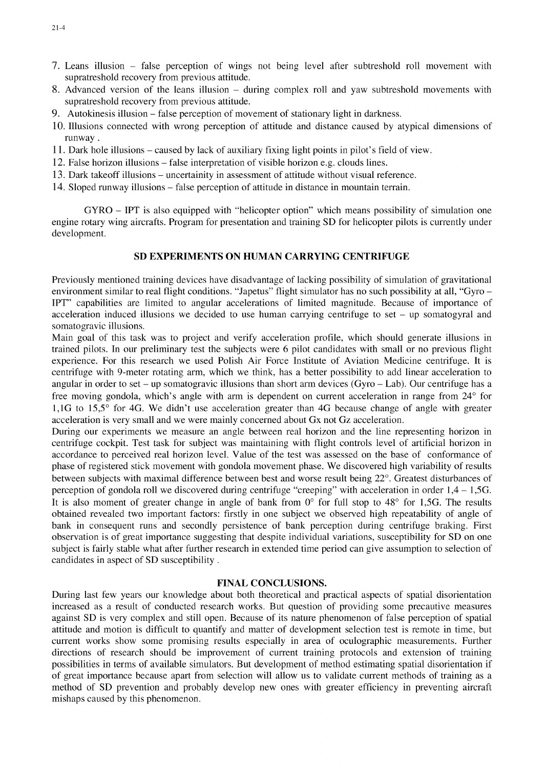- 7. Leans illusion false perception of wings not being level after subtreshold roll movement with supratreshold recovery from previous attitude.
- 8. Advanced version of the leans illusion during complex roll and yaw subtreshold movements with supratreshold recovery from previous attitude.
- 9. Autokinesis illusion false perception of movement of stationary light in darkness.
- 10. Illusions connected with wrong perception of attitude and distance caused by atypical dimensions of runway.
- 11. Dark hole illusions caused by lack of auxiliary fixing light points in pilot's field of view.
- 12. False horizon illusions false interpretation of visible horizon e.g. clouds lines.
- 13. Dark takeoff illusions uncertainity in assessment of attitude without visual reference.
- 14. Sloped runway illusions false perception of attitude in distance in mountain terrain.

GYRO - IPT is also equipped with "helicopter option" which means possibility of simulation one engine rotary wing aircrafts. Program for presentation and training SD for helicopter pilots is currently under development.

#### **SD** EXPERIMENTS **ON HUMAN** CARRYING **CENTRIFUGE**

Previously mentioned training devices have disadvantage of lacking possibility of simulation of gravitational environment similar to real flight conditions. "Japetus" flight simulator has no such possibility at all, "Gyro -IPT" capabilities are limited to angular accelerations of limited magnitude. Because of importance of acceleration induced illusions we decided to use human carrying centrifuge to set  $-$  up somatogyral and somatogravic illusions.

Main goal of this task was to project and verify acceleration profile, which should generate illusions in trained pilots. In our preliminary test the subjects were 6 pilot candidates with small or no previous flight experience. For this research we used Polish Air Force Institute of Aviation Medicine centrifuge. It is centrifuge with 9-meter rotating arm, which we think, has a better possibility to add linear acceleration to angular in order to set - up somatogravic illusions than short arm devices (Gyro - Lab). Our centrifuge has a free moving gondola, which's angle with arm is dependent on current acceleration in range from 24' for 1,1G to **15,5'** for 4G. We didn't use acceleration greater than 4G because change of angle with greater acceleration is very small and we were mainly concerned about Gx not Gz acceleration.

During our experiments we measure an angle between real horizon and the line representing horizon in centrifuge cockpit. Test task for subject was maintaining with flight controls level of artificial horizon in accordance to perceived real horizon level. Value of the test was assessed on the base of conformance of phase of registered stick movement with gondola movement phase. We discovered high variability of results between subjects with maximal difference between best and worse result being 22'. Greatest disturbances of perception of gondola roll we discovered during centrifuge "creeping" with acceleration in order 1,4 - **1,5G.** It is also moment of greater change in angle of bank from **0'** for full stop to 48' for **1,5G.** The results obtained revealed two important factors: firstly in one subject we observed high repeatability of angle of bank in consequent runs and secondly persistence of bank perception during centrifuge braking. First observation is of great importance suggesting that despite individual variations, susceptibility for SD on one subject is fairly stable what after further research in extended time period can give assumption to selection of candidates in aspect of SD susceptibility.

#### **FINAL CONCLUSIONS.**

During last few years our knowledge about both theoretical and practical aspects of spatial disorientation increased as a result of conducted research works. But question of providing some precautive measures against SD is very complex and still open. Because of its nature phenomenon of false perception of spatial attitude and motion is difficult to quantify and matter of development selection test is remote in time, but current works show some promising results especially in area of oculographic measurements. Further directions of research should be improvement of current training protocols and extension of training possibilities in terms of available simulators. But development of method estimating spatial disorientation if of great importance because apart from selection will allow us to validate current methods of training as a method of SD prevention and probably develop new ones with greater efficiency in preventing aircraft mishaps caused by this phenomenon.